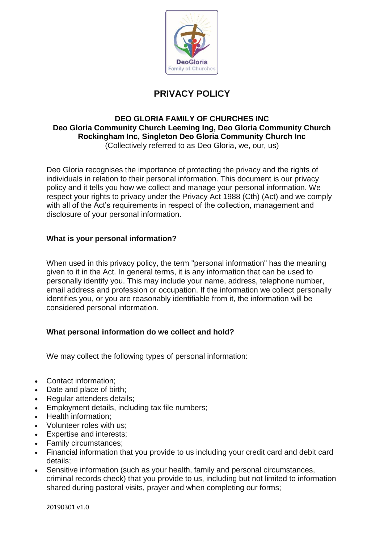

# **PRIVACY POLICY**

#### **DEO GLORIA FAMILY OF CHURCHES INC Deo Gloria Community Church Leeming Ing, Deo Gloria Community Church Rockingham Inc, Singleton Deo Gloria Community Church Inc** (Collectively referred to as Deo Gloria, we, our, us)

Deo Gloria recognises the importance of protecting the privacy and the rights of individuals in relation to their personal information. This document is our privacy policy and it tells you how we collect and manage your personal information. We respect your rights to privacy under the Privacy Act 1988 (Cth) (Act) and we comply with all of the Act's requirements in respect of the collection, management and disclosure of your personal information.

# **What is your personal information?**

When used in this privacy policy, the term "personal information" has the meaning given to it in the Act. In general terms, it is any information that can be used to personally identify you. This may include your name, address, telephone number, email address and profession or occupation. If the information we collect personally identifies you, or you are reasonably identifiable from it, the information will be considered personal information.

# **What personal information do we collect and hold?**

We may collect the following types of personal information:

- Contact information;
- Date and place of birth;
- Regular attenders details;
- Employment details, including tax file numbers;
- Health information;
- Volunteer roles with us;
- Expertise and interests;
- Family circumstances;
- Financial information that you provide to us including your credit card and debit card details;
- Sensitive information (such as your health, family and personal circumstances, criminal records check) that you provide to us, including but not limited to information shared during pastoral visits, prayer and when completing our forms;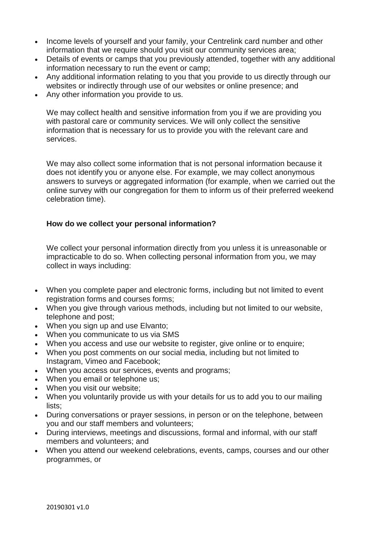- Income levels of yourself and your family, your Centrelink card number and other information that we require should you visit our community services area;
- Details of events or camps that you previously attended, together with any additional information necessary to run the event or camp;
- Any additional information relating to you that you provide to us directly through our websites or indirectly through use of our websites or online presence; and
- Any other information you provide to us.

We may collect health and sensitive information from you if we are providing you with pastoral care or community services. We will only collect the sensitive information that is necessary for us to provide you with the relevant care and services.

We may also collect some information that is not personal information because it does not identify you or anyone else. For example, we may collect anonymous answers to surveys or aggregated information (for example, when we carried out the online survey with our congregation for them to inform us of their preferred weekend celebration time).

## **How do we collect your personal information?**

We collect your personal information directly from you unless it is unreasonable or impracticable to do so. When collecting personal information from you, we may collect in ways including:

- When you complete paper and electronic forms, including but not limited to event registration forms and courses forms;
- When you give through various methods, including but not limited to our website, telephone and post;
- When you sign up and use Elvanto;
- When you communicate to us via SMS
- When you access and use our website to register, give online or to enquire;
- When you post comments on our social media, including but not limited to Instagram, Vimeo and Facebook;
- When you access our services, events and programs;
- When you email or telephone us:
- When you visit our website;
- When you voluntarily provide us with your details for us to add you to our mailing lists;
- During conversations or prayer sessions, in person or on the telephone, between you and our staff members and volunteers;
- During interviews, meetings and discussions, formal and informal, with our staff members and volunteers; and
- When you attend our weekend celebrations, events, camps, courses and our other programmes, or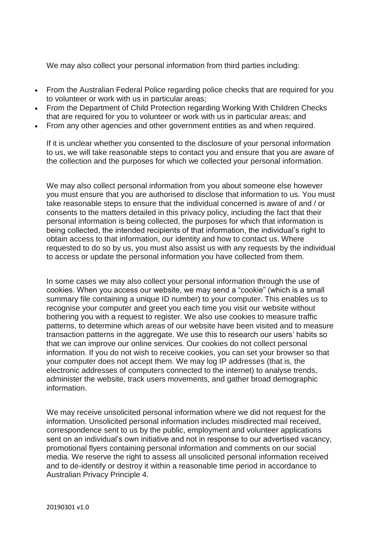We may also collect your personal information from third parties including:

- From the Australian Federal Police regarding police checks that are required for you to volunteer or work with us in particular areas;
- From the Department of Child Protection regarding Working With Children Checks that are required for you to volunteer or work with us in particular areas; and
- From any other agencies and other government entities as and when required.

If it is unclear whether you consented to the disclosure of your personal information to us, we will take reasonable steps to contact you and ensure that you are aware of the collection and the purposes for which we collected your personal information.

We may also collect personal information from you about someone else however you must ensure that you are authorised to disclose that information to us. You must take reasonable steps to ensure that the individual concerned is aware of and / or consents to the matters detailed in this privacy policy, including the fact that their personal information is being collected, the purposes for which that information is being collected, the intended recipients of that information, the individual's right to obtain access to that information, our identity and how to contact us. Where requested to do so by us, you must also assist us with any requests by the individual to access or update the personal information you have collected from them.

In some cases we may also collect your personal information through the use of cookies. When you access our website, we may send a "cookie" (which is a small summary file containing a unique ID number) to your computer. This enables us to recognise your computer and greet you each time you visit our website without bothering you with a request to register. We also use cookies to measure traffic patterns, to determine which areas of our website have been visited and to measure transaction patterns in the aggregate. We use this to research our users' habits so that we can improve our online services. Our cookies do not collect personal information. If you do not wish to receive cookies, you can set your browser so that your computer does not accept them. We may log IP addresses (that is, the electronic addresses of computers connected to the internet) to analyse trends, administer the website, track users movements, and gather broad demographic information.

We may receive unsolicited personal information where we did not request for the information. Unsolicited personal information includes misdirected mail received, correspondence sent to us by the public, employment and volunteer applications sent on an individual's own initiative and not in response to our advertised vacancy, promotional flyers containing personal information and comments on our social media. We reserve the right to assess all unsolicited personal information received and to de-identify or destroy it within a reasonable time period in accordance to Australian Privacy Principle 4.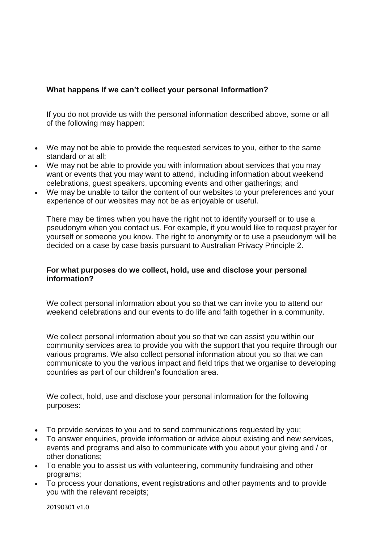## **What happens if we can't collect your personal information?**

If you do not provide us with the personal information described above, some or all of the following may happen:

- We may not be able to provide the requested services to you, either to the same standard or at all;
- We may not be able to provide you with information about services that you may want or events that you may want to attend, including information about weekend celebrations, guest speakers, upcoming events and other gatherings; and
- We may be unable to tailor the content of our websites to your preferences and your experience of our websites may not be as enjoyable or useful.

There may be times when you have the right not to identify yourself or to use a pseudonym when you contact us. For example, if you would like to request prayer for yourself or someone you know. The right to anonymity or to use a pseudonym will be decided on a case by case basis pursuant to Australian Privacy Principle 2.

## **For what purposes do we collect, hold, use and disclose your personal information?**

We collect personal information about you so that we can invite you to attend our weekend celebrations and our events to do life and faith together in a community.

We collect personal information about you so that we can assist you within our community services area to provide you with the support that you require through our various programs. We also collect personal information about you so that we can communicate to you the various impact and field trips that we organise to developing countries as part of our children's foundation area.

We collect, hold, use and disclose your personal information for the following purposes:

- To provide services to you and to send communications requested by you;
- To answer enquiries, provide information or advice about existing and new services, events and programs and also to communicate with you about your giving and / or other donations;
- To enable you to assist us with volunteering, community fundraising and other programs;
- To process your donations, event registrations and other payments and to provide you with the relevant receipts;

20190301 v1.0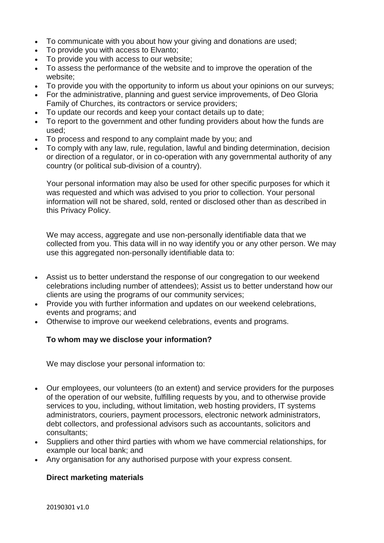- To communicate with you about how your giving and donations are used;
- To provide you with access to Elvanto;
- To provide you with access to our website;
- To assess the performance of the website and to improve the operation of the website;
- To provide you with the opportunity to inform us about your opinions on our surveys;
- For the administrative, planning and guest service improvements, of Deo Gloria Family of Churches, its contractors or service providers;
- To update our records and keep your contact details up to date;
- To report to the government and other funding providers about how the funds are used;
- To process and respond to any complaint made by you; and
- To comply with any law, rule, regulation, lawful and binding determination, decision or direction of a regulator, or in co-operation with any governmental authority of any country (or political sub-division of a country).

Your personal information may also be used for other specific purposes for which it was requested and which was advised to you prior to collection. Your personal information will not be shared, sold, rented or disclosed other than as described in this Privacy Policy.

We may access, aggregate and use non-personally identifiable data that we collected from you. This data will in no way identify you or any other person. We may use this aggregated non-personally identifiable data to:

- Assist us to better understand the response of our congregation to our weekend celebrations including number of attendees); Assist us to better understand how our clients are using the programs of our community services;
- Provide you with further information and updates on our weekend celebrations, events and programs; and
- Otherwise to improve our weekend celebrations, events and programs.

## **To whom may we disclose your information?**

We may disclose your personal information to:

- Our employees, our volunteers (to an extent) and service providers for the purposes of the operation of our website, fulfilling requests by you, and to otherwise provide services to you, including, without limitation, web hosting providers, IT systems administrators, couriers, payment processors, electronic network administrators, debt collectors, and professional advisors such as accountants, solicitors and consultants;
- Suppliers and other third parties with whom we have commercial relationships, for example our local bank; and
- Any organisation for any authorised purpose with your express consent.

## **Direct marketing materials**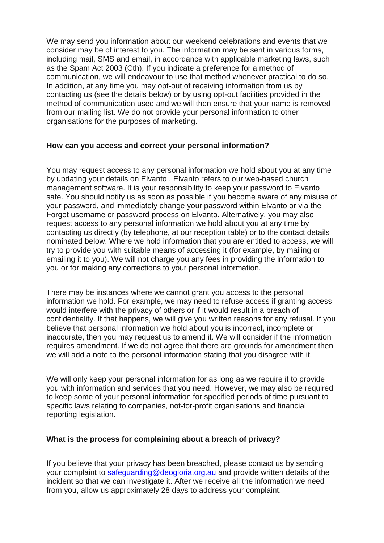We may send you information about our weekend celebrations and events that we consider may be of interest to you. The information may be sent in various forms, including mail, SMS and email, in accordance with applicable marketing laws, such as the Spam Act 2003 (Cth). If you indicate a preference for a method of communication, we will endeavour to use that method whenever practical to do so. In addition, at any time you may opt-out of receiving information from us by contacting us (see the details below) or by using opt-out facilities provided in the method of communication used and we will then ensure that your name is removed from our mailing list. We do not provide your personal information to other organisations for the purposes of marketing.

## **How can you access and correct your personal information?**

You may request access to any personal information we hold about you at any time by updating your details on Elvanto . Elvanto refers to our web-based church management software. It is your responsibility to keep your password to Elvanto safe. You should notify us as soon as possible if you become aware of any misuse of your password, and immediately change your password within Elvanto or via the Forgot username or password process on Elvanto. Alternatively, you may also request access to any personal information we hold about you at any time by contacting us directly (by telephone, at our reception table) or to the contact details nominated below. Where we hold information that you are entitled to access, we will try to provide you with suitable means of accessing it (for example, by mailing or emailing it to you). We will not charge you any fees in providing the information to you or for making any corrections to your personal information.

There may be instances where we cannot grant you access to the personal information we hold. For example, we may need to refuse access if granting access would interfere with the privacy of others or if it would result in a breach of confidentiality. If that happens, we will give you written reasons for any refusal. If you believe that personal information we hold about you is incorrect, incomplete or inaccurate, then you may request us to amend it. We will consider if the information requires amendment. If we do not agree that there are grounds for amendment then we will add a note to the personal information stating that you disagree with it.

We will only keep your personal information for as long as we require it to provide you with information and services that you need. However, we may also be required to keep some of your personal information for specified periods of time pursuant to specific laws relating to companies, not-for-profit organisations and financial reporting legislation.

## **What is the process for complaining about a breach of privacy?**

If you believe that your privacy has been breached, please contact us by sending your complaint to [safeguarding@deogloria.org.au](mailto:safeguarding@deogloria.org.au) and provide written details of the incident so that we can investigate it. After we receive all the information we need from you, allow us approximately 28 days to address your complaint.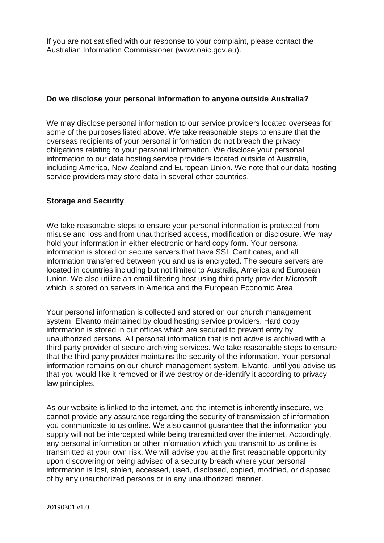If you are not satisfied with our response to your complaint, please contact the Australian Information Commissioner [\(www.oaic.gov.au\)](http://www.oaic.gov.au/).

#### **Do we disclose your personal information to anyone outside Australia?**

We may disclose personal information to our service providers located overseas for some of the purposes listed above. We take reasonable steps to ensure that the overseas recipients of your personal information do not breach the privacy obligations relating to your personal information. We disclose your personal information to our data hosting service providers located outside of Australia, including America, New Zealand and European Union. We note that our data hosting service providers may store data in several other countries.

#### **Storage and Security**

We take reasonable steps to ensure your personal information is protected from misuse and loss and from unauthorised access, modification or disclosure. We may hold your information in either electronic or hard copy form. Your personal information is stored on secure servers that have SSL Certificates, and all information transferred between you and us is encrypted. The secure servers are located in countries including but not limited to Australia, America and European Union. We also utilize an email filtering host using third party provider Microsoft which is stored on servers in America and the European Economic Area.

Your personal information is collected and stored on our church management system, Elvanto maintained by cloud hosting service providers. Hard copy information is stored in our offices which are secured to prevent entry by unauthorized persons. All personal information that is not active is archived with a third party provider of secure archiving services. We take reasonable steps to ensure that the third party provider maintains the security of the information. Your personal information remains on our church management system, Elvanto, until you advise us that you would like it removed or if we destroy or de-identify it according to privacy law principles.

As our website is linked to the internet, and the internet is inherently insecure, we cannot provide any assurance regarding the security of transmission of information you communicate to us online. We also cannot guarantee that the information you supply will not be intercepted while being transmitted over the internet. Accordingly, any personal information or other information which you transmit to us online is transmitted at your own risk. We will advise you at the first reasonable opportunity upon discovering or being advised of a security breach where your personal information is lost, stolen, accessed, used, disclosed, copied, modified, or disposed of by any unauthorized persons or in any unauthorized manner.